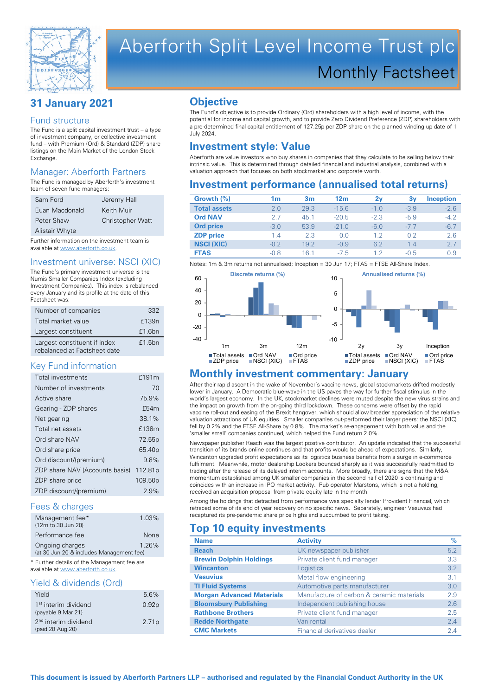

# Aberforth Split Level Income Trust plc Monthly Factsheet

# **31 January 2021**

#### Fund structure

The Fund is a split capital investment trust – a type of investment company, or collective investment fund – with Premium (Ord) & Standard (ZDP) share listings on the Main Market of the London Stock **Exchange** 

#### Manager: Aberforth Partners

The Fund is managed by Aberforth's investment team of seven fund managers:

| Sam Ford       | Jeremy Hall             |
|----------------|-------------------------|
| Euan Macdonald | Keith Muir              |
| Peter Shaw     | <b>Christopher Watt</b> |
| Alistair Whyte |                         |

Further information on the investment team is available at www.aberforth.co.uk.

#### Investment universe: NSCI (XIC)

The Fund's primary investment universe is the Numis Smaller Companies Index (excluding Investment Companies). This index is rebalanced every January and its profile at the date of this Factsheet was:

| Number of companies                                          | 332    |
|--------------------------------------------------------------|--------|
| Total market value                                           | £139n  |
| Largest constituent                                          | £1.6bn |
| Largest constituent if index<br>rebalanced at Factsheet date | £1.5bn |

#### Key Fund information

| Total investments              | £191m               |
|--------------------------------|---------------------|
| Number of investments          | 70                  |
| Active share                   | 75.9%               |
| Gearing - ZDP shares           | £54m                |
| Net gearing                    | 38 1%               |
| Total net assets               | £138m               |
| Ord share NAV                  | 72.55 <sub>p</sub>  |
| Ord share price                | 65.40 <sub>p</sub>  |
| Ord discount/(premium)         | 9.8%                |
| ZDP share NAV (Accounts basis) | 112.81p             |
| ZDP share price                | 109.50 <sub>p</sub> |
| ZDP discount/(premium)         | 2.9%                |

#### Fees & charges

| Management fee*<br>(12m to 30 Jun 20)                       | 1.03% |
|-------------------------------------------------------------|-------|
| Performance fee                                             | None  |
| Ongoing charges<br>(at 30 Jun 20 & includes Management fee) | 1.26% |
|                                                             |       |

\* Further details of the Management fee are available at www.aberforth.co.uk

## Yield & dividends (Ord)

| Yield                                                  | 5.6%              |
|--------------------------------------------------------|-------------------|
| 1 <sup>st</sup> interim dividend<br>(payable 9 Mar 21) | 0.92 <sub>D</sub> |
| 2 <sup>nd</sup> interim dividend<br>(paid 28 Aug 20)   | 2.71 <sub>p</sub> |

# **Objective**

The Fund's objective is to provide Ordinary (Ord) shareholders with a high level of income, with the potential for income and capital growth, and to provide Zero Dividend Preference (ZDP) shareholders with a pre-determined final capital entitlement of 127.25p per ZDP share on the planned winding up date of 1 July 2024.

# **Investment style: Value**

Aberforth are value investors who buy shares in companies that they calculate to be selling below their intrinsic value. This is determined through detailed financial and industrial analysis, combined with a valuation approach that focuses on both stockmarket and corporate worth.

# **Investment performance (annualised total returns)**

| Growth $(\%)$       | 1m     | 3 <sub>m</sub> | 12 <sub>m</sub> | 2ν     | Зv     | <b>Inception</b> |
|---------------------|--------|----------------|-----------------|--------|--------|------------------|
| <b>Total assets</b> | 2.0    | 29.3           | $-15.6$         | $-1.0$ | $-3.9$ | $-2.6$           |
| <b>Ord NAV</b>      | 27     | 45.1           | $-20.5$         | $-2.3$ | $-5.9$ | $-4.2$           |
| <b>Ord price</b>    | $-3.0$ | 53.9           | $-21.0$         | $-6.0$ | $-7.7$ | $-6.7$           |
| <b>ZDP</b> price    | 1.4    | 2.3            | 0.0             | 1.2    | 0.2    | 2.6              |
| <b>NSCI (XIC)</b>   | $-0.2$ | 19.2           | $-0.9$          | 6.2    | 1.4    | 2.7              |
| <b>FTAS</b>         | $-0.8$ | 16.1           | $-7.5$          | 12     | $-0.5$ | 0.9              |

Notes: 1m & 3m returns not annualised; Inception = 30 Jun 17; FTAS = FTSE All-Share Index.



#### **Monthly investment commentary: January**

After their rapid ascent in the wake of November's vaccine news, global stockmarkets drifted modestly lower in January. A Democratic blue-wave in the US paves the way for further fiscal stimulus in the world's largest economy. In the UK, stockmarket declines were muted despite the new virus strains and the impact on growth from the on-going third lockdown. These concerns were offset by the rapid vaccine roll-out and easing of the Brexit hangover, which should allow broader appreciation of the relative valuation attractions of UK equities. Smaller companies out-performed their larger peers: the NSCI (XIC) fell by 0.2% and the FTSE All-Share by 0.8%. The market's re-engagement with both value and the 'smaller small' companies continued, which helped the Fund return 2.0%.

Newspaper publisher Reach was the largest positive contributor. An update indicated that the successful transition of its brands online continues and that profits would be ahead of expectations. Similarly, Wincanton upgraded profit expectations as its logistics business benefits from a surge in e-commerce fulfilment. Meanwhile, motor dealership Lookers bounced sharply as it was successfully readmitted to trading after the release of its delayed interim accounts. More broadly, there are signs that the M&A momentum established among UK smaller companies in the second half of 2020 is continuing and coincides with an increase in IPO market activity. Pub operator Marstons, which is not a holding, received an acquisition proposal from private equity late in the month.

Among the holdings that detracted from performance was specialty lender Provident Financial, which retraced some of its end of year recovery on no specific news. Separately, engineer Vesuvius had recaptured its pre-pandemic share price highs and succumbed to profit taking.

# **Top 10 equity investments**

| <b>Name</b>                      | <b>Activity</b>                           | $\%$ |
|----------------------------------|-------------------------------------------|------|
| <b>Reach</b>                     | UK newspaper publisher                    | 5.2  |
| <b>Brewin Dolphin Holdings</b>   | Private client fund manager               | 3.3  |
| <b>Wincanton</b>                 | Logistics                                 | 3.2  |
| <b>Vesuvius</b>                  | Metal flow engineering                    | 3.1  |
| <b>TI Fluid Systems</b>          | Automotive parts manufacturer             | 3.0  |
| <b>Morgan Advanced Materials</b> | Manufacture of carbon & ceramic materials | 2.9  |
| <b>Bloomsbury Publishing</b>     | Independent publishing house              | 2.6  |
| <b>Rathbone Brothers</b>         | Private client fund manager               | 2.5  |
| <b>Redde Northgate</b>           | Van rental                                | 2.4  |
| <b>CMC Markets</b>               | Financial derivatives dealer              | 2.4  |